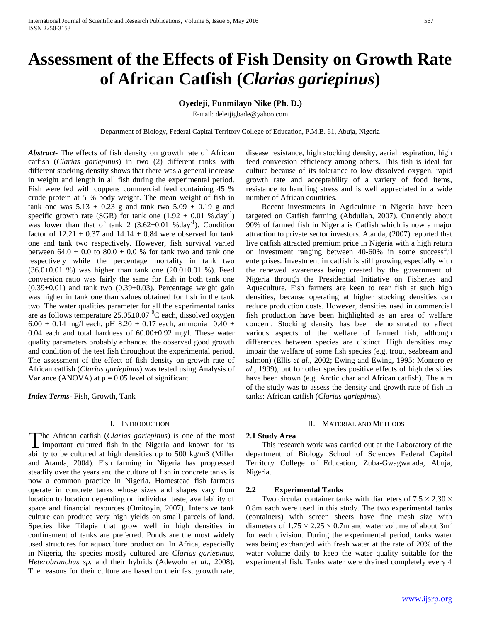# **Assessment of the Effects of Fish Density on Growth Rate of African Catfish (***Clarias gariepinus***)**

# **Oyedeji, Funmilayo Nike (Ph. D.)**

E-mail: deleijigbade@yahoo.com

Department of Biology, Federal Capital Territory College of Education, P.M.B. 61, Abuja, Nigeria

*Abstract***-** The effects of fish density on growth rate of African catfish (*Clarias gariepinus*) in two (2) different tanks with different stocking density shows that there was a general increase in weight and length in all fish during the experimental period. Fish were fed with coppens commercial feed containing 45 % crude protein at 5 % body weight. The mean weight of fish in tank one was  $5.13 \pm 0.23$  g and tank two  $5.09 \pm 0.19$  g and specific growth rate (SGR) for tank one  $(1.92 \pm 0.01 \%)$ .day<sup>-1</sup>) was lower than that of tank 2  $(3.62 \pm 0.01 \text{ %day}^{-1})$ . Condition factor of  $12.21 \pm 0.37$  and  $14.14 \pm 0.84$  were observed for tank one and tank two respectively. However, fish survival varied between  $64.0 \pm 0.0$  to  $80.0 \pm 0.0$  % for tank two and tank one respectively while the percentage mortality in tank two  $(36.0 \pm 0.01 \%)$  was higher than tank one  $(20.0 \pm 0.01 \%)$ . Feed conversion ratio was fairly the same for fish in both tank one  $(0.39\pm0.01)$  and tank two  $(0.39\pm0.03)$ . Percentage weight gain was higher in tank one than values obtained for fish in the tank two. The water qualities parameter for all the experimental tanks are as follows temperature  $25.05 \pm 0.07$  °C each, dissolved oxygen 6.00  $\pm$  0.14 mg/l each, pH 8.20  $\pm$  0.17 each, ammonia 0.40  $\pm$ 0.04 each and total hardness of 60.00±0.92 mg/l. These water quality parameters probably enhanced the observed good growth and condition of the test fish throughout the experimental period. The assessment of the effect of fish density on growth rate of African catfish (*Clarias gariepinus*) was tested using Analysis of Variance (ANOVA) at  $p = 0.05$  level of significant.

*Index Terms*- Fish, Growth, Tank

#### I. INTRODUCTION

he African catfish (*Clarias gariepinus*) is one of the most important cultured fish in the Nigeria and known for its The African catfish (*Clarias gariepinus*) is one of the most important cultured fish in the Nigeria and known for its ability to be cultured at high densities up to 500 kg/m3 (Miller and Atanda, 2004). Fish farming in Nigeria has progressed steadily over the years and the culture of fish in concrete tanks is now a common practice in Nigeria. Homestead fish farmers operate in concrete tanks whose sizes and shapes vary from location to location depending on individual taste, availability of space and financial resources (Omitoyin, 2007). Intensive tank culture can produce very high yields on small parcels of land. Species like Tilapia that grow well in high densities in confinement of tanks are preferred. Ponds are the most widely used structures for aquaculture production. In Africa, especially in Nigeria, the species mostly cultured are *Clarias gariepinus, Heterobranchus sp.* and their hybrids (Adewolu *et al*., 2008). The reasons for their culture are based on their fast growth rate,

disease resistance, high stocking density, aerial respiration, high feed conversion efficiency among others. This fish is ideal for culture because of its tolerance to low dissolved oxygen, rapid growth rate and acceptability of a variety of food items, resistance to handling stress and is well appreciated in a wide number of African countries.

 Recent investments in Agriculture in Nigeria have been targeted on Catfish farming (Abdullah, 2007). Currently about 90% of farmed fish in Nigeria is Catfish which is now a major attraction to private sector investors. Atanda, (2007) reported that live catfish attracted premium price in Nigeria with a high return on investment ranging between 40-60% in some successful enterprises. Investment in catfish is still growing especially with the renewed awareness being created by the government of Nigeria through the Presidential Initiative on Fisheries and Aquaculture. Fish farmers are keen to rear fish at such high densities, because operating at higher stocking densities can reduce production costs. However, densities used in commercial fish production have been highlighted as an area of welfare concern. Stocking density has been demonstrated to affect various aspects of the welfare of farmed fish, although differences between species are distinct. High densities may impair the welfare of some fish species (e.g. trout, seabream and salmon) (Ellis *et al*., 2002; Ewing and Ewing, 1995; Montero *et al*., 1999), but for other species positive effects of high densities have been shown (e.g. Arctic char and African catfish). The aim of the study was to assess the density and growth rate of fish in tanks: African catfish (*Clarias gariepinus*).

#### II. MATERIAL AND METHODS

#### **2.1 Study Area**

 This research work was carried out at the Laboratory of the department of Biology School of Sciences Federal Capital Territory College of Education, Zuba-Gwagwalada, Abuja, Nigeria.

#### **2.2 Experimental Tanks**

Two circular container tanks with diameters of  $7.5 \times 2.30 \times$ 0.8m each were used in this study. The two experimental tanks (containers) with screen sheets have fine mesh size with diameters of  $1.75 \times 2.25 \times 0.7$ m and water volume of about 3m<sup>3</sup> for each division. During the experimental period, tanks water was being exchanged with fresh water at the rate of 20% of the water volume daily to keep the water quality suitable for the experimental fish. Tanks water were drained completely every 4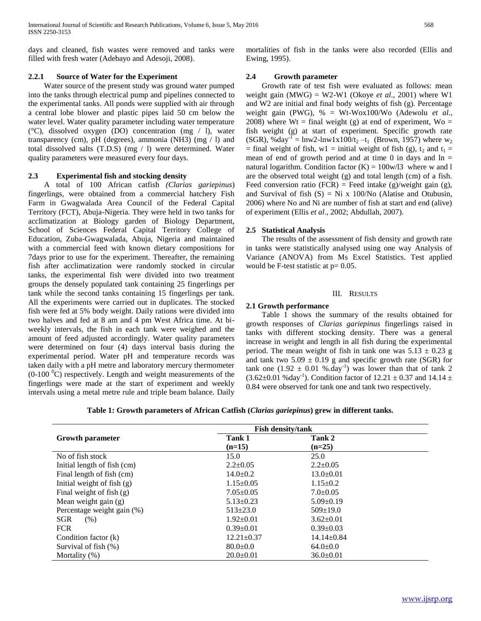days and cleaned, fish wastes were removed and tanks were filled with fresh water (Adebayo and Adesoji, 2008).

# **2.2.1 Source of Water for the Experiment**

 Water source of the present study was ground water pumped into the tanks through electrical pump and pipelines connected to the experimental tanks. All ponds were supplied with air through a central lobe blower and plastic pipes laid 50 cm below the water level. Water quality parameter including water temperature (°C), dissolved oxygen (DO) concentration (mg / l), water transparency (cm), pH (degrees), ammonia (NH3) (mg / l) and total dissolved salts (T.D.S) (mg / l) were determined. Water quality parameters were measured every four days.

### **2.3 Experimental fish and stocking density**

 A total of 100 African catfish *(Clarias gariepinus*) fingerlings, were obtained from a commercial hatchery Fish Farm in Gwagwalada Area Council of the Federal Capital Territory (FCT), Abuja-Nigeria. They were held in two tanks for acclimatization at Biology garden of Biology Department, School of Sciences Federal Capital Territory College of Education, Zuba-Gwagwalada, Abuja, Nigeria and maintained with a commercial feed with known dietary compositions for 7days prior to use for the experiment. Thereafter, the remaining fish after acclimatization were randomly stocked in circular tanks, the experimental fish were divided into two treatment groups the densely populated tank containing 25 fingerlings per tank while the second tanks containing 15 fingerlings per tank. All the experiments were carried out in duplicates. The stocked fish were fed at 5% body weight. Daily rations were divided into two halves and fed at 8 am and 4 pm West Africa time. At biweekly intervals, the fish in each tank were weighed and the amount of feed adjusted accordingly. Water quality parameters were determined on four (4) days interval basis during the experimental period. Water pH and temperature records was taken daily with a pH metre and laboratory mercury thermometer  $(0-100 \degree C)$  respectively. Length and weight measurements of the fingerlings were made at the start of experiment and weekly intervals using a metal metre rule and triple beam balance. Daily

mortalities of fish in the tanks were also recorded (Ellis and Ewing, 1995).

# **2.4 Growth parameter**

 Growth rate of test fish were evaluated as follows: mean weight gain (MWG) = W2-W1 (Okoye *et al*., 2001) where W1 and W2 are initial and final body weights of fish (g). Percentage weight gain (PWG), % = Wt-Wox100/Wo (Adewolu *et al*., 2008) where  $Wt = final weight (g)$  at end of experiment,  $Wo =$ fish weight (g) at start of experiment. Specific growth rate (SGR), %day<sup>-1</sup> = lnw2-lnw1x100/t<sub>2</sub> -t<sub>1</sub> (Brown, 1957) where w<sub>2</sub> = final weight of fish, w1 = initial weight of fish (g),  $t_2$  and  $t_1$  = mean of end of growth period and at time 0 in days and  $\ln =$ natural logarithm. Condition factor  $(K) = 100$ w/l3 where w and l are the observed total weight (g) and total length (cm) of a fish. Feed conversion ratio (FCR) = Feed intake (g)/weight gain (g), and Survival of fish  $(S) = Ni x 100/No$  (Alatise and Otubusin, 2006) where No and Ni are number of fish at start and end (alive) of experiment (Ellis *et al*., 2002; Abdullah, 2007).

# **2.5 Statistical Analysis**

 The results of the assessment of fish density and growth rate in tanks were statistically analysed using one way Analysis of Variance (ANOVA) from Ms Excel Statistics. Test applied would be F-test statistic at  $p= 0.05$ .

# III. RESULTS

# **2.1 Growth performance**

 Table 1 shows the summary of the results obtained for growth responses of *Clarias gariepinus* fingerlings raised in tanks with different stocking density. There was a general increase in weight and length in all fish during the experimental period. The mean weight of fish in tank one was  $5.13 \pm 0.23$  g and tank two  $5.09 \pm 0.19$  g and specific growth rate (SGR) for tank one  $(1.92 \pm 0.01 \%)$ . Was lower than that of tank 2  $(3.62 \pm 0.01 \text{ %day}^{-1})$ . Condition factor of  $12.21 \pm 0.37$  and  $14.14 \pm 0.37$ 0.84 were observed for tank one and tank two respectively.

**Table 1: Growth parameters of African Catfish (***Clarias gariepinus***) grew in different tanks.**

|                              | <b>Fish density/tank</b> |                  |  |
|------------------------------|--------------------------|------------------|--|
| <b>Growth parameter</b>      | Tank 1                   | Tank 2           |  |
|                              | $(n=15)$                 | $(n=25)$         |  |
| No of fish stock             | 15.0                     | 25.0             |  |
| Initial length of fish (cm)  | $2.2 \pm 0.05$           | $2.2 \pm 0.05$   |  |
| Final length of fish (cm)    | $14.0+0.2$               | $13.0 \pm 0.01$  |  |
| Initial weight of fish $(g)$ | $1.15 \pm 0.05$          | $1.15 \pm 0.2$   |  |
| Final weight of fish $(g)$   | $7.05 \pm 0.05$          | $7.0 \pm 0.05$   |  |
| Mean weight gain $(g)$       | $5.13 \pm 0.23$          | $5.09 \pm 0.19$  |  |
| Percentage weight gain (%)   | $513 \pm 23.0$           | $509 \pm 19.0$   |  |
| <b>SGR</b><br>(% )           | $1.92 \pm 0.01$          | $3.62 \pm 0.01$  |  |
| <b>FCR</b>                   | $0.39 \pm 0.01$          | $0.39 \pm 0.03$  |  |
| Condition factor (k)         | $12.21 \pm 0.37$         | $14.14 \pm 0.84$ |  |
| Survival of fish (%)         | $80.0 \pm 0.0$           | $64.0 \pm 0.0$   |  |
| Mortality (%)                | $20.0+0.01$              | $36.0 \pm 0.01$  |  |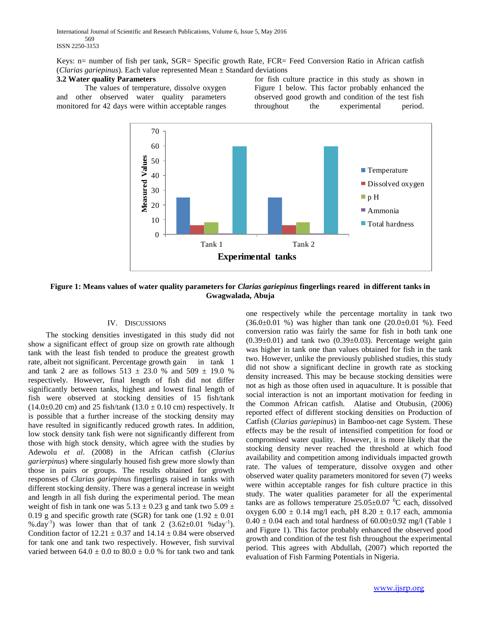International Journal of Scientific and Research Publications, Volume 6, Issue 5, May 2016 569 ISSN 2250-3153

Keys: n= number of fish per tank, SGR= Specific growth Rate, FCR= Feed Conversion Ratio in African catfish (*Clarias gariepinus*). Each value represented Mean ± Standard deviations

#### **3.2 Water quality Parameters**

The values of temperature, dissolve oxygen and other observed water quality parameters monitored for 42 days were within acceptable ranges for fish culture practice in this study as shown in Figure 1 below. This factor probably enhanced the observed good growth and condition of the test fish throughout the experimental period.



**Figure 1: Means values of water quality parameters for** *Clarias gariepinus* **fingerlings reared in different tanks in Gwagwalada, Abuja**

# IV. DISCUSSIONS

 The stocking densities investigated in this study did not show a significant effect of group size on growth rate although tank with the least fish tended to produce the greatest growth rate, albeit not significant. Percentage growth gain in tank 1 and tank 2 are as follows  $513 \pm 23.0$  % and  $509 \pm 19.0$  % respectively. However, final length of fish did not differ significantly between tanks, highest and lowest final length of fish were observed at stocking densities of 15 fish/tank  $(14.0\pm0.20 \text{ cm})$  and 25 fish/tank  $(13.0 \pm 0.10 \text{ cm})$  respectively. It is possible that a further increase of the stocking density may have resulted in significantly reduced growth rates. In addition, low stock density tank fish were not significantly different from those with high stock density, which agree with the studies by Adewolu *et al*. (2008) in the African catfish (*Clarius garierpinus*) where singularly housed fish grew more slowly than those in pairs or groups. The results obtained for growth responses of *Clarias gariepinus* fingerlings raised in tanks with different stocking density. There was a general increase in weight and length in all fish during the experimental period. The mean weight of fish in tank one was  $5.13 \pm 0.23$  g and tank two  $5.09 \pm 0.23$ 0.19 g and specific growth rate (SGR) for tank one  $(1.92 \pm 0.01)$ %.day<sup>-1</sup>) was lower than that of tank 2  $(3.62 \pm 0.01 \text{ %day}^{-1})$ . Condition factor of  $12.21 \pm 0.37$  and  $14.14 \pm 0.84$  were observed for tank one and tank two respectively. However, fish survival varied between  $64.0 \pm 0.0$  to  $80.0 \pm 0.0$  % for tank two and tank

one respectively while the percentage mortality in tank two  $(36.0 \pm 0.01 \%)$  was higher than tank one  $(20.0 \pm 0.01 \%)$ . Feed conversion ratio was fairly the same for fish in both tank one  $(0.39\pm0.01)$  and tank two  $(0.39\pm0.03)$ . Percentage weight gain was higher in tank one than values obtained for fish in the tank two. However, unlike the previously published studies, this study did not show a significant decline in growth rate as stocking density increased. This may be because stocking densities were not as high as those often used in aquaculture. It is possible that social interaction is not an important motivation for feeding in the Common African catfish. Alatise and Otubusin, (2006) reported effect of different stocking densities on Production of Catfish (*Clarias gariepinus*) in Bamboo-net cage System. These effects may be the result of intensified competition for food or compromised water quality. However, it is more likely that the stocking density never reached the threshold at which food availability and competition among individuals impacted growth rate. The values of temperature, dissolve oxygen and other observed water quality parameters monitored for seven (7) weeks were within acceptable ranges for fish culture practice in this study. The water qualities parameter for all the experimental tanks are as follows temperature  $25.05\pm0.07$  °C each, dissolved oxygen  $6.00 \pm 0.14$  mg/l each, pH  $8.20 \pm 0.17$  each, ammonia  $0.40 \pm 0.04$  each and total hardness of  $60.00 \pm 0.92$  mg/l (Table 1) and Figure 1). This factor probably enhanced the observed good growth and condition of the test fish throughout the experimental period. This agrees with Abdullah, (2007) which reported the evaluation of Fish Farming Potentials in Nigeria.